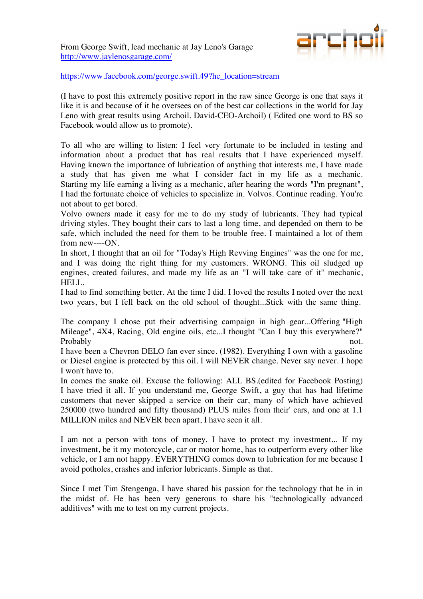From George Swift, lead mechanic at Jay Leno's Garage http://www.jaylenosgarage.com/



https://www.facebook.com/george.swift.49?hc\_location=stream

(I have to post this extremely positive report in the raw since George is one that says it like it is and because of it he oversees on of the best car collections in the world for Jay Leno with great results using Archoil. David-CEO-Archoil) ( Edited one word to BS so Facebook would allow us to promote).

To all who are willing to listen: I feel very fortunate to be included in testing and information about a product that has real results that I have experienced myself. Having known the importance of lubrication of anything that interests me, I have made a study that has given me what I consider fact in my life as a mechanic. Starting my life earning a living as a mechanic, after hearing the words "I'm pregnant", I had the fortunate choice of vehicles to specialize in. Volvos. Continue reading. You're not about to get bored.

Volvo owners made it easy for me to do my study of lubricants. They had typical driving styles. They bought their cars to last a long time, and depended on them to be safe, which included the need for them to be trouble free. I maintained a lot of them from new----ON.

In short, I thought that an oil for "Today's High Revving Engines" was the one for me, and I was doing the right thing for my customers. WRONG. This oil sludged up engines, created failures, and made my life as an "I will take care of it" mechanic, HELL.

I had to find something better. At the time I did. I loved the results I noted over the next two years, but I fell back on the old school of thought...Stick with the same thing.

The company I chose put their advertising campaign in high gear...Offering "High Mileage", 4X4, Racing, Old engine oils, etc...I thought "Can I buy this everywhere?" Probably not.

I have been a Chevron DELO fan ever since. (1982). Everything I own with a gasoline or Diesel engine is protected by this oil. I will NEVER change. Never say never. I hope I won't have to.

In comes the snake oil. Excuse the following: ALL BS.(edited for Facebook Posting) I have tried it all. If you understand me, George Swift, a guy that has had lifetime customers that never skipped a service on their car, many of which have achieved 250000 (two hundred and fifty thousand) PLUS miles from their' cars, and one at 1.1 MILLION miles and NEVER been apart, I have seen it all.

I am not a person with tons of money. I have to protect my investment... If my investment, be it my motorcycle, car or motor home, has to outperform every other like vehicle, or I am not happy. EVERYTHING comes down to lubrication for me because I avoid potholes, crashes and inferior lubricants. Simple as that.

Since I met Tim Stengenga, I have shared his passion for the technology that he in in the midst of. He has been very generous to share his "technologically advanced additives" with me to test on my current projects.